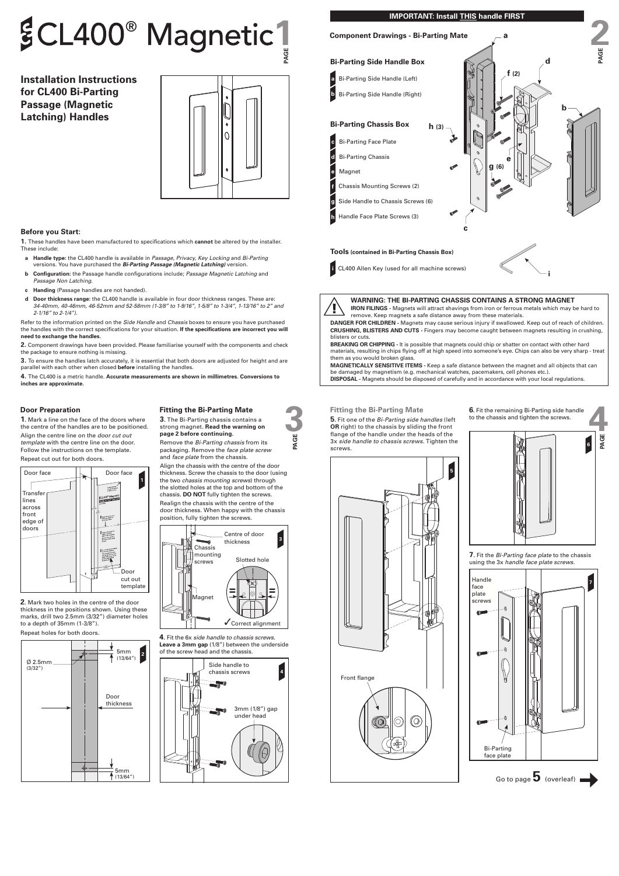# $$CL400^{\circ}$  Magnetic <sup>1</sup>

**Installation Instructions for CL400 Bi-Parting Passage (Magnetic Latching) Handles**



# **Before you Start:**

**1.** These handles have been manufactured to specifications which **cannot** be altered by the installer. These include:

- **a Handle type:** the CL400 handle is available in *Passage, Privacy, Key Locking* and *Bi-Parting* versions. You have purchased the *Bi-Parting Passage (Magnetic Latching)* version.
- **b Configuration:** the Passage handle configurations include; *Passage Magnetic Latching* and *Passage Non Latching.*
- **c Handing** (Passage handles are not handed)*.*
- **d Door thickness range:** the CL400 handle is available in four door thickness ranges. These are: *34-40mm, 40-46mm, 46-52mm and 52-58mm (1-3/8" to 1-9/16", 1-5/8" to 1-3/4", 1-13/16" to 2" and 2-1/16" to 2-1/4")*.

Refer to the information printed on the *Side Handle* and *Chassis* boxes to ensure you have purchased the handles with the correct specifications for your situation. **If the specifications are incorrect you will need to exchange the handles.**

**2.** Component drawings have been provided. Please familiarise yourself with the components and check the package to ensure nothing is missing.

**3.** To ensure the handles latch accurately, it is essential that both doors are adjusted for height and are parallel with each other when closed **before** installing the handles.

**4.** The CL400 is a metric handle. **Accurate measurements are shown in millimetres. Conversions to inches are approximate.**

# **IMPORTANT: Install THIS handle FIRST**

**Door Preparation**<br> **1.** Mark a line on the face of the doors where<br>
the centre of the handles are to be positioned.<br>
Align the centre line on the *door cut out*<br> **Example to the Bi-Parting continuing.**<br> **Example to the st 5.** Fit one of the *Bi-Parting side handles* (left **OR** right) to the chassis by sliding the front flange of the handle under the heads of the 3x *side handle to chassis screws.* Tighten the screws.

**1.** Mark a line on the face of the doors where the centre of the handles are to be positioned. Align the centre line on the *door cut out* 

*template* with the centre line on the door. Follow the instructions on the template.

Repeat cut out for both doors.



**2.** Mark two holes in the centre of the door thickness in the positions shown. Using these marks, drill two 2.5mm (3/32") diameter holes to a depth of 35mm (1-3/8"). Repeat holes for both doors.





**7.** Fit the *Bi-Parting face plate* to the chassis using the 3x *handle face plate screws*.



strong magnet. **Read the warning on page 2 before continuing.**  Remove the *Bi-Parting chassis* from its packaging. Remove the *face plate screw* and *face plate* from the chassis.

Align the chassis with the centre of the door thickness. Screw the chassis to the door (using the two *chassis mounting screws*) through the slotted holes at the top and bottom of the chassis. **DO NOT** fully tighten the screws.

Realign the chassis with the centre of the door thickness. When happy with the chassis position, fully tighten the screws.



**4.** Fit the 6x *side handle to chassis screws.* **Leave a 3mm gap** (1/8") between the underside of the screw head and the chassis.

Go to page 
$$
\overline{5}
$$
 (overleaf)

**5**

**6.** Fit the remaining Bi-Parting side handle to the chassis and tighten the screws.



**<sup>i</sup>** CL400 Allen Key (used for all machine screws) **<sup>i</sup>**



**WARNING: THE BI-PARTING CHASSIS CONTAINS A STRONG MAGNET**

**IRON FILINGS -** Magnets will attract shavings from iron or ferrous metals which may be hard to remove. Keep magnets a safe distance away from these materials.



**DANGER FOR CHILDREN -** Magnets may cause serious injury if swallowed. Keep out of reach of children. **CRUSHING, BLISTERS AND CUTS -** Fingers may become caught between magnets resulting in crushing, blisters or cuts.

**BREAKING OR CHIPPING -** It is possible that magnets could chip or shatter on contact with other hard materials, resulting in chips flying off at high speed into someone's eye. Chips can also be very sharp - treat them as you would broken glass.

**MAGNETICALLY SENSITIVE ITEMS -** Keep a safe distance between the magnet and all objects that can be damaged by magnetism (e.g. mechanical watches, pacemakers, cell phones etc.). **DISPOSAL -** Magnets should be disposed of carefully and in accordance with your local regulations.





5mm (13/64") **2**